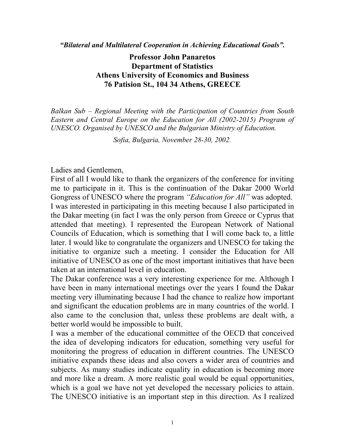*"Bilateral and Multilateral Cooperation in Achieving Educational Goals".* 

**Professor John Panaretos Department of Statistics Athens University of Economics and Business 76 Patision St., 104 34 Athens, GREECE** 

*Balkan Sub – Regional Meeting with the Participation of Countries from South Eastern and Central Europe on the Education for All (2002-2015) Program of UNESCO. Organised by UNESCO and the Bulgarian Ministry of Education.* 

*Sofia, Bulgaria, November 28-30, 2002.* 

Ladies and Gentlemen,

First of all I would like to thank the organizers of the conference for inviting me to participate in it. This is the continuation of the Dakar 2000 World Gongress of UNESCO where the program *"Education for All"* was adopted. I was interested in participating in this meeting because I also participated in the Dakar meeting (in fact I was the only person from Greece or Cyprus that attended that meeting). I represented the European Network of National Councils of Education, which is something that I will come back to, a little later. I would like to congratulate the organizers and UNESCO for taking the initiative to organize such a meeting. I consider the Education for All initiative of UNESCO as one of the most important initiatives that have been taken at an international level in education.

The Dakar conference was a very interesting experience for me. Although I have been in many international meetings over the years I found the Dakar meeting very illuminating because I had the chance to realize how important and significant the education problems are in many countries of the world. I also came to the conclusion that, unless these problems are dealt with, a better world would be impossible to built.

I was a member of the educational committee of the OECD that conceived the idea of developing indicators for education, something very useful for monitoring the progress of education in different countries. The UNESCO initiative expands these ideas and also covers a wider area of countries and subjects. As many studies indicate equality in education is becoming more and more like a dream. A more realistic goal would be equal opportunities, which is a goal we have not yet developed the necessary policies to attain. The UNESCO initiative is an important step in this direction. As I realized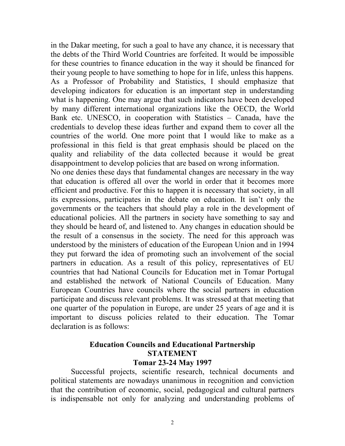in the Dakar meeting, for such a goal to have any chance, it is necessary that the debts of the Third World Countries are forfeited. It would be impossible for these countries to finance education in the way it should be financed for their young people to have something to hope for in life, unless this happens. As a Professor of Probability and Statistics, I should emphasize that developing indicators for education is an important step in understanding what is happening. One may argue that such indicators have been developed by many different international organizations like the OECD, the World Bank etc. UNESCO, in cooperation with Statistics – Canada, have the credentials to develop these ideas further and expand them to cover all the countries of the world. One more point that I would like to make as a professional in this field is that great emphasis should be placed on the quality and reliability of the data collected because it would be great disappointment to develop policies that are based on wrong information.

No one denies these days that fundamental changes are necessary in the way that education is offered all over the world in order that it becomes more efficient and productive. For this to happen it is necessary that society, in all its expressions, participates in the debate on education. It isn't only the governments or the teachers that should play a role in the development of educational policies. All the partners in society have something to say and they should be heard of, and listened to. Any changes in education should be the result of a consensus in the society. The need for this approach was understood by the ministers of education of the European Union and in 1994 they put forward the idea of promoting such an involvement of the social partners in education. As a result of this policy, representatives of EU countries that had National Councils for Education met in Tomar Portugal and established the network of National Councils of Education. Many European Countries have councils where the social partners in education participate and discuss relevant problems. It was stressed at that meeting that one quarter of the population in Europe, are under 25 years of age and it is important to discuss policies related to their education. The Tomar declaration is as follows:

#### **Education Councils and Educational Partnership STATEMENT Tomar 23-24 May 1997**

 Successful projects, scientific research, technical documents and political statements are nowadays unanimous in recognition and conviction that the contribution of economic, social, pedagogical and cultural partners is indispensable not only for analyzing and understanding problems of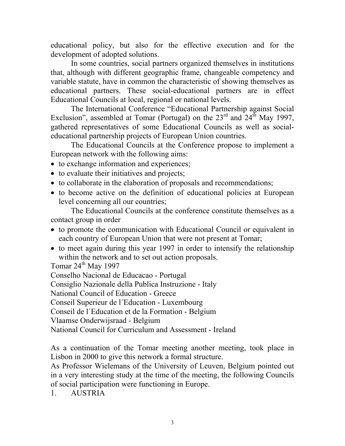educational policy, but also for the effective execution and for the development of adopted solutions.

 In some countries, social partners organized themselves in institutions that, although with different geographic frame, changeable competency and variable statute, have in common the characteristic of showing themselves as educational partners. These social-educational partners are in effect Educational Councils at local, regional or national levels.

 The International Conference "Educational Partnership against Social Exclusion", assembled at Tomar (Portugal) on the  $23<sup>rd</sup>$  and  $24<sup>th</sup>$  May 1997, gathered representatives of some Educational Councils as well as socialeducational partnership projects of European Union countries.

 The Educational Councils at the Conference propose to implement a European network with the following aims:

- to exchange information and experiences;
- to evaluate their initiatives and projects;
- to collaborate in the elaboration of proposals and recommendations;
- to become active on the definition of educational policies at European level concerning all our countries;

 The Educational Councils at the conference constitute themselves as a contact group in order

- to promote the communication with Educational Council or equivalent in each country of European Union that were not present at Tomar;
- to meet again during this year 1997 in order to intensify the relationship within the network and to set out action proposals.

Tomar  $24^{\text{th}}$  May 1997

Conselho Nacional de Educacao - Portugal

Consiglio Nazionale della Publica Instruzione - Italy

National Council of Education - Greece

Conseil Superieur de l΄Education - Luxembourg

Conseil de l΄Education et de la Formation - Belgium

Vlaamse Onderwijsraad - Belgium

National Council for Curriculum and Assessment - Ireland

As a continuation of the Tomar meeting another meeting, took place in Lisbon in 2000 to give this network a formal structure.

As Professor Wielemans of the University of Leuven, Belgium pointed out in a very interesting study at the time of the meeting, the following Councils of social participation were functioning in Europe.

1. AUSTRIA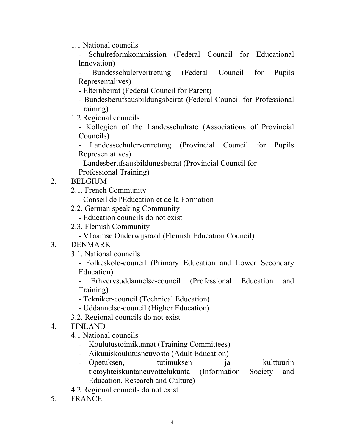1.1 National councils

Schulreformkommission (Federal Council for Educational lnnovation)

- Bundesschulervertretung (Federal Council for Pupils Representalives)

- Elternbeirat (Federal Council for Parent)

- Bundesberufsausbildungsbeirat (Federal Council for Professional Training)

1.2 Regional councils

- Kollegien of the Landesschulrate (Associations of Provincial Councils)

- Landesscchulervertretung (Provincial Council for Pupils Representatives)

- Landesberufsausbildungsbeirat (Provincial Council for Professional Training)

- 2. BELGIUM
	- 2.1. French Community
		- Conseil de l'Education et de la Formation
	- 2.2. German speaking Community
		- Education councils do not exist
	- 2.3. Flemish Community
		- V1aamse Onderwijsraad (Flemish Education Council)
- 3. DENMARK
	- 3.1. National councils

- Folkeskole-council (Primary Education and Lower Secondary Education)

- Erhvervsuddannelse-council (Professional Education and Training)

- Tekniker-council (Technical Education)
- Uddannelse-council (Higher Education)
- 3.2. Regional councils do not exist
- 4. FINLAND

4.1 National councils

- Koulutustoimikunnat (Training Committees)
- Aikuuiskoulutusneuvosto (Adult Education)
- Opetuksen, tutimuksen ja kulttuurin tictoyhteiskuntaneuvottelukunta (Information Society and Education, Research and Culture)

4.2 Regional councils do not exist

5. FRANCE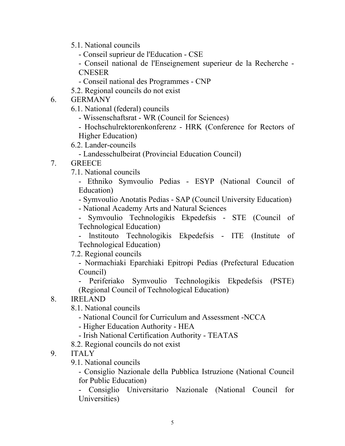- 5.1. National councils
	- Conseil suprieur de l'Education CSE
	- Conseil national de l'Enseignement superieur de la Recherche CNESER
	- Conseil national des Programmes CNP
- 5.2. Regional councils do not exist
- 6. GERMANY
	- 6.1. National (federal) councils
		- Wissenschaftsrat WR (Council for Sciences)
		- Hochschulrektorenkonferenz HRK (Conference for Rectors of Higher Education)
	- 6.2. Lander-councils
		- Landesschulbeirat (Provincial Education Council)
- 7. GREECE
	- 7.1. National councils

- Ethniko Symvoulio Pedias - ESYP (National Council of Education)

- Symvoulio Anotatis Pedias SAP (Council University Education)
- National Academy Arts and Natural Sciences

- Symvoulio Technologikis Ekpedefsis - STE (Council of Technological Education)

- lnstitouto Technologikis Ekpedefsis - ITE (Institute of Technological Education)

7.2. Regional councils

- Normachiaki Eparchiaki Epitropi Pedias (Prefectural Education Council)

- Periferiako Symvoulio Technologikis Ekpedefsis (PSTE) (Regional Council of Technological Education)

## 8. IRELAND

- 8.1. National councils
	- National Council for Curriculum and Assessment -NCCA
	- Higher Education Authority HEA
	- Irish National Certification Authority TEATAS
- 8.2. Regional councils do not exist
- 9. ITALY
	- 9.1. National councils

- Consiglio Nazionale della Pubblica Istruzione (National Council for Public Education)

- Consiglio Universitario Nazionale (National Council for Universities)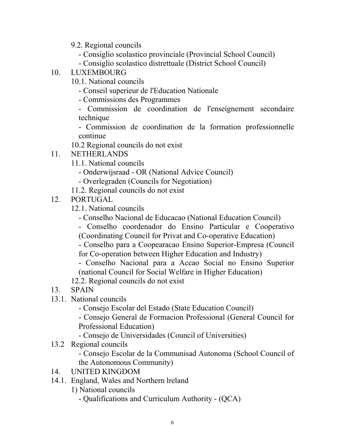- 9.2. Regional councils
	- Consiglio scolastico provinciale (Provincial School Council)
	- Consiglio scolastico distrettuale (District School Council)
- 10. LUXEMBOURG
	- 10.1. National councils
		- Conseil superieur de l'Education Nationale
		- Commissions des Programmes
		- Commission de coordination de l'enseignement secondaire technique
		- Commission de coordination de la formation professionnelle continue
	- 10.2 Regional councils do not exist
- 11. NETHERLANDS
	- 11.1. National councils
		- Onderwijsraad OR (National Advice Council)
		- Overlegraden (Councils for Negotiation)
	- 11.2. Regional councils do not exist
- 12. PORTUGAL
	- 12.1. National councils
		- Conselho Nacional de Educacao (National Education Council)
		- Conselho coordenador do Ensino Particular e Cooperativo (Coordinating Council for Privat and Co-operative Education)
		- Conselho para a Coopearacao Ensino Superior-Empresa (Council for Co-operation between Higher Education and Industry)

- Conselho Nacional para a Accao Social no Ensino Superior (national Council for Social Welfare in Higher Education)

12.2. Regional councils do not exist

- 13. SPAIN
- 13.1. National councils
	- Consejo Escolar del Estado (State Education Council)
	- Consejo General de Formacion Professional (General Council for Professional Education)
	- Consejo de Universidades (Council of Universities)
- 13.2 Regional councils
	- Consejo Escolar de la Communisad Autonoma (School Council of the Autonomous Community)
- 14. UNITED KINGDOM
- 14.1. England, Wales and Northern lreland
	- 1) National councils
		- Qualifications and Curriculum Authority (QCA)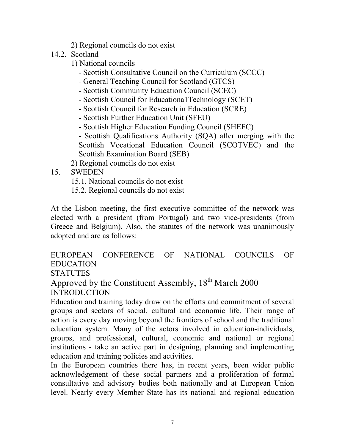- 2) Regional councils do not exist
- 14.2. Scotland
	- 1) National councils
		- Scottish Consultative Council on the Curriculum (SCCC)
		- General Teaching Council for Scotland (GTCS)
		- Scottish Community Education Council (SCEC)
		- Scottish Council for Educationa1Technology (SCET)
		- Scottish Council for Research in Education (SCRE)
		- Scottish Further Education Unit (SFEU)
		- Scottish Higher Education Funding Council (SHEFC)
		- Scottish Qualifications Authority (SQA) after merging with the Scottish Vocational Education Council (SCOTVEC) and the Scottish Examination Board (SEB)

2) Regional councils do not exist

- 15. SWEDEN
	- 15.1. National councils do not exist
	- 15.2. Regional councils do not exist

At the Lisbon meeting, the first executive committee of the network was elected with a president (from Portugal) and two vice-presidents (from Greece and Belgium). Also, the statutes of the network was unanimously adopted and are as follows:

EUROPEAN CONFERENCE OF NATIONAL COUNCILS OF EDUCATION

**STATUTES** 

Approved by the Constituent Assembly,  $18<sup>th</sup>$  March 2000 INTRODUCTION

Education and training today draw on the efforts and commitment of several groups and sectors of social, cultural and economic life. Their range of action is every day moving beyond the frontiers of school and the traditional education system. Many of the actors involved in education-individuals, groups, and professional, cultural, economic and national or regional institutions - take an active part in designing, planning and implementing education and training policies and activities.

In the European countries there has, in recent years, been wider public acknowledgement of these social partners and a proliferation of formal consultative and advisory bodies both nationally and at European Union level. Nearly every Member State has its national and regional education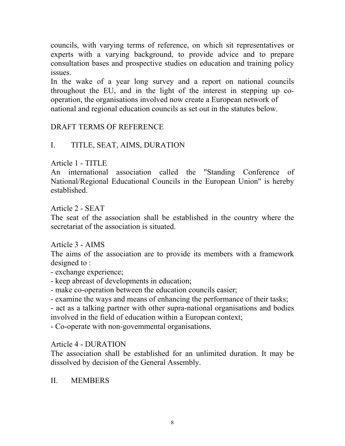councils, with varying terms of reference, on which sit representatives or experts with a varying background, to provide advice and to prepare consultation bases and prospective studies on education and training policy issues.

In the wake of a year long survey and a report on national councils throughout the EU, and in the light of the interest in stepping up cooperation, the organisations involved now create a European network of national and regional education councils as set out in the statutes below.

# DRAFT TERMS OF REFERENCE

## I. TITLE, SEAT, AIMS, DURATION

Article 1 - TITLE

An international association called the "Standing Conference of National/Regional Educational Councils in the European Union" is hereby established.

Article 2 - SEAT

The seat of the association shall be established in the country where the secretariat of the association is situated.

Article 3 - AIMS

The aims of the association are to provide its members with a framework designed to :

- exchange experience;

- keep abreast of developments in education;

- make co-operation between the education councils easier;

- examine the ways and means of enhancing the performance of their tasks;

- act as a talking partner with other supra-national organisations and bodies involved in the field of education within a European context;

- Co-operate with non-govemmental organisations.

Article 4 - DURATION

The association shall be established for an unlimited duration. It may be dissolved by decision of the General Assembly.

II. MEMBERS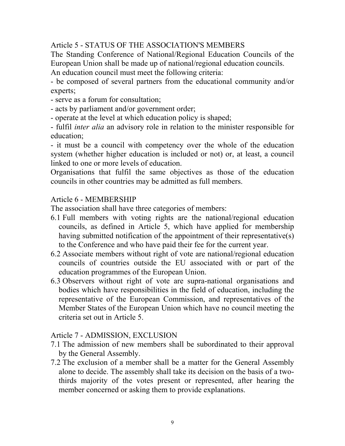Article 5 - STATUS OF THE ASSOCIATION'S MEMBERS

The Standing Conference of National/Regional Education Councils of the European Union shall be made up of national/regional education councils.

An education council must meet the following criteria:

- be composed of several partners from the educational community and/or experts;

- serve as a forum for consultation;
- acts by parliament and/or government order;
- operate at the level at which education policy is shaped;

- fulfil *inter alia* an advisory role in relation to the minister responsible for education;

- it must be a council with competency over the whole of the education system (whether higher education is included or not) or, at least, a council linked to one or more levels of education.

Organisations that fulfil the same objectives as those of the education councils in other countries may be admitted as full members.

## Article 6 - MEMBERSHIP

The association shall have three categories of members:

- 6.1 Full members with voting rights are the national/regional education councils, as defined in Article 5, which have applied for membership having submitted notification of the appointment of their representative(s) to the Conference and who have paid their fee for the current year.
- 6.2 Associate members without right of vote are national/regional education councils of countries outside the EU associated with or part of the education programmes of the European Union.
- 6.3 Observers without right of vote are supra-national organisations and bodies which have responsibilities in the field of education, including the representative of the European Commission, and representatives of the Member States of the European Union which have no council meeting the criteria set out in Article 5.

## Article 7 - ADMISSION, EXCLUSION

- 7.1 The admission of new members shall be subordinated to their approval by the General Assembly.
- 7.2 The exclusion of a member shall be a matter for the General Assembly alone to decide. The assembly shall take its decision on the basis of a twothirds majority of the votes present or represented, after hearing the member concerned or asking them to provide explanations.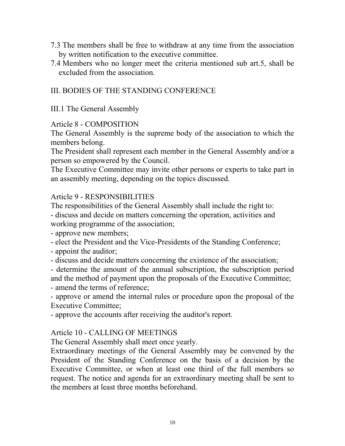- 7.3 The members shall be free to withdraw at any time from the association by written notification to the executive committee.
- 7.4 Members who no longer meet the criteria mentioned sub art.5, shall be excluded from the association.

# III. BODIES OF THE STANDING CONFERENCE

III.1 The General Assembly

## Article 8 - COMPOSITION

The General Assembly is the supreme body of the association to which the members belong.

The President shall represent each member in the General Assembly and/or a person so empowered by the Council.

The Executive Committee may invite other persons or experts to take part in an assembly meeting, depending on the topics discussed.

## Article 9 - RESPONSIBILITIES

The responsibilities of the General Assembly shall include the right to: - discuss and decide on matters concerning the operation, activities and working programme of the association;

- approve new members;

- elect the President and the Vice-Presidents of the Standing Conference;

- appoint the auditor;

- discuss and decide matters concerning the existence of the association;

- determine the amount of the annual subscription, the subscription period and the method of payment upon the proposals of the Executive Committee;

- amend the terms of reference;

- approve or amend the internal rules or procedure upon the proposal of the Executive Committee;

- approve the accounts after receiving the auditor's report.

## Article 10 - CALLING OF MEETINGS

The General Assembly shall meet once yearly.

Extraordinary meetings of the General Assembly may be convened by the President of the Standing Conference on the basis of a decision by the Executive Committee, or when at least one third of the full members so request. The notice and agenda for an extraordinary meeting shall be sent to the members at least three months beforehand.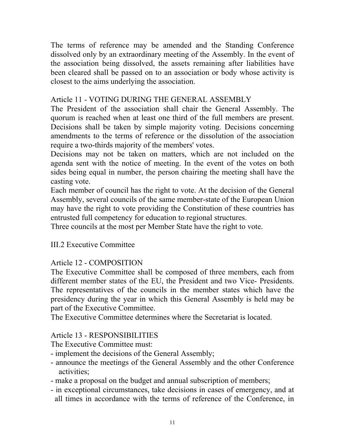The terms of reference may be amended and the Standing Conference dissolved only by an extraordinary meeting of the Assembly. In the event of the association being dissolved, the assets remaining after liabilities have been cleared shall be passed on to an association or body whose activity is closest to the aims underlying the association.

## Article 11 - VOTING DURING THE GENERAL ASSEMBLY

The President of the association shall chair the General Assembly. The quorum is reached when at least one third of the full members are present. Decisions shall be taken by simple majority voting. Decisions concerning amendments to the terms of reference or the dissolution of the association require a two-thirds majority of the members' votes.

Decisions may not be taken on matters, which are not included on the agenda sent with the notice of meeting. In the event of the votes on both sides being equal in number, the person chairing the meeting shall have the casting vote.

Each member of council has the right to vote. At the decision of the General Assembly, several councils of the same member-state of the European Union may have the right to vote providing the Constitution of these countries has entrusted full competency for education to regional structures.

Three councils at the most per Member State have the right to vote.

# III.2 Executive Committee

# Article 12 - COMPOSITION

The Executive Committee shall be composed of three members, each from different member states of the EU, the President and two Vice- Presidents. The representatives of the councils in the member states which have the presidency during the year in which this General Assembly is held may be part of the Executive Committee.

The Executive Committee determines where the Secretariat is located.

# Article 13 - RESPONSIBILITIES

The Executive Committee must:

- implement the decisions of the General Assembly;
- announce the meetings of the General Assembly and the other Conference activities;
- make a proposal on the budget and annual subscription of members;
- in exceptional circumstances, take decisions in cases of emergency, and at all times in accordance with the terms of reference of the Conference, in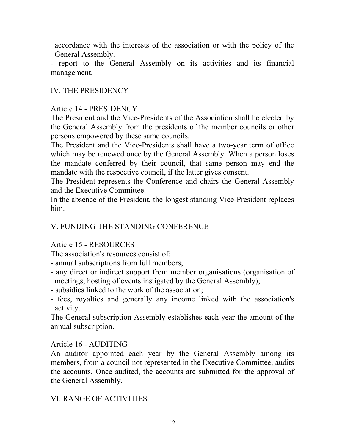accordance with the interests of the association or with the policy of the General Assembly.

- report to the General Assembly on its activities and its financial management.

## IV. THE PRESIDENCY

## Article 14 - PRESIDENCY

The President and the Vice-Presidents of the Association shall be elected by the General Assembly from the presidents of the member councils or other persons empowered by these same councils.

The President and the Vice-Presidents shall have a two-year term of office which may be renewed once by the General Assembly. When a person loses the mandate conferred by their council, that same person may end the mandate with the respective council, if the latter gives consent.

The President represents the Conference and chairs the General Assembly and the Executive Committee.

In the absence of the President, the longest standing Vice-President replaces him.

## V. FUNDING THE STANDING CONFERENCE

## Article 15 - RESOURCES

The association's resources consist of:

- annual subscriptions from full members;
- any direct or indirect support from member organisations (organisation of meetings, hosting of events instigated by the General Assembly);
- subsidies linked to the work of the association;
- fees, royalties and generally any income linked with the association's activity.

The General subscription Assembly establishes each year the amount of the annual subscription.

## Article 16 - AUDITING

An auditor appointed each year by the General Assembly among its members, from a council not represented in the Executive Committee, audits the accounts. Once audited, the accounts are submitted for the approval of the General Assembly.

# VI. RANGE OF ACTIVITIES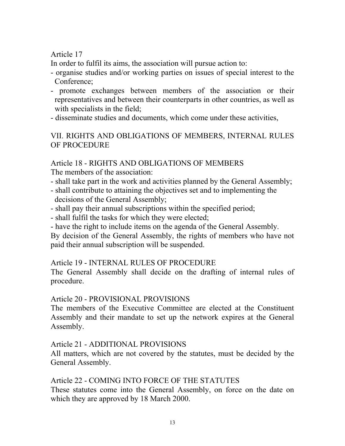Article 17

In order to fulfil its aims, the association will pursue action to:

- organise studies and/or working parties on issues of special interest to the Conference;
- promote exchanges between members of the association or their representatives and between their counterparts in other countries, as well as with specialists in the field;
- disseminate studies and documents, which come under these activities,

VII. RIGHTS AND OBLIGATIONS OF MEMBERS, INTERNAL RULES OF PROCEDURE

## Article 18 - RIGHTS AND OBLIGATIONS OF MEMBERS

The members of the association:

- shall take part in the work and activities planned by the General Assembly;
- shall contribute to attaining the objectives set and to implementing the decisions of the General Assembly;
- shall pay their annual subscriptions within the specified period;
- shall fulfil the tasks for which they were elected;
- have the right to include items on the agenda of the General Assembly.

By decision of the General Assembly, the rights of members who have not paid their annual subscription will be suspended.

### Article 19 - INTERNAL RULES OF PROCEDURE

The General Assembly shall decide on the drafting of internal rules of procedure.

### Article 20 - PROVISIONAL PROVISIONS

The members of the Executive Committee are elected at the Constituent Assembly and their mandate to set up the network expires at the General Assembly.

## Article 21 - ADDITIONAL PROVISIONS

All matters, which are not covered by the statutes, must be decided by the General Assembly.

## Article 22 - COMING INTO FORCE OF THE STATUTES

These statutes come into the General Assembly, on force on the date on which they are approved by 18 March 2000.